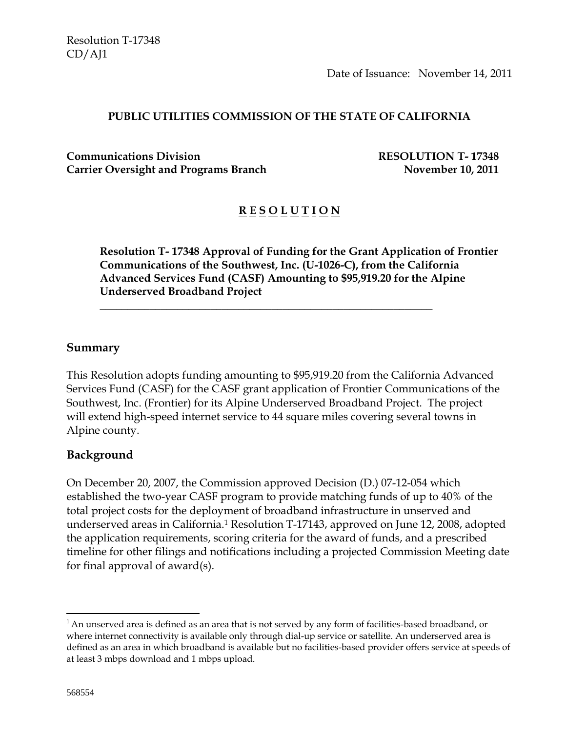Date of Issuance: November 14, 2011

#### **PUBLIC UTILITIES COMMISSION OF THE STATE OF CALIFORNIA**

**Communications Division RESOLUTION T- 17348 Carrier Oversight and Programs Branch November 10, 2011** 

# **R E S O L U T I O N**

**Resolution T- 17348 Approval of Funding for the Grant Application of Frontier Communications of the Southwest, Inc. (U-1026-C), from the California Advanced Services Fund (CASF) Amounting to \$95,919.20 for the Alpine Underserved Broadband Project** 

#### **Summary**

This Resolution adopts funding amounting to \$95,919.20 from the California Advanced Services Fund (CASF) for the CASF grant application of Frontier Communications of the Southwest, Inc. (Frontier) for its Alpine Underserved Broadband Project. The project will extend high-speed internet service to 44 square miles covering several towns in Alpine county.

\_\_\_\_\_\_\_\_\_\_\_\_\_\_\_\_\_\_\_\_\_\_\_\_\_\_\_\_\_\_\_\_\_\_\_\_\_\_\_\_\_\_\_\_\_\_\_\_\_\_\_\_\_\_\_\_\_\_\_\_

#### **Background**

On December 20, 2007, the Commission approved Decision (D.) 07-12-054 which established the two-year CASF program to provide matching funds of up to 40% of the total project costs for the deployment of broadband infrastructure in unserved and underserved areas in California.1 Resolution T-17143, approved on June 12, 2008, adopted the application requirements, scoring criteria for the award of funds, and a prescribed timeline for other filings and notifications including a projected Commission Meeting date for final approval of award(s).

 $\overline{a}$ 

 $1$ An unserved area is defined as an area that is not served by any form of facilities-based broadband, or where internet connectivity is available only through dial-up service or satellite. An underserved area is defined as an area in which broadband is available but no facilities-based provider offers service at speeds of at least 3 mbps download and 1 mbps upload.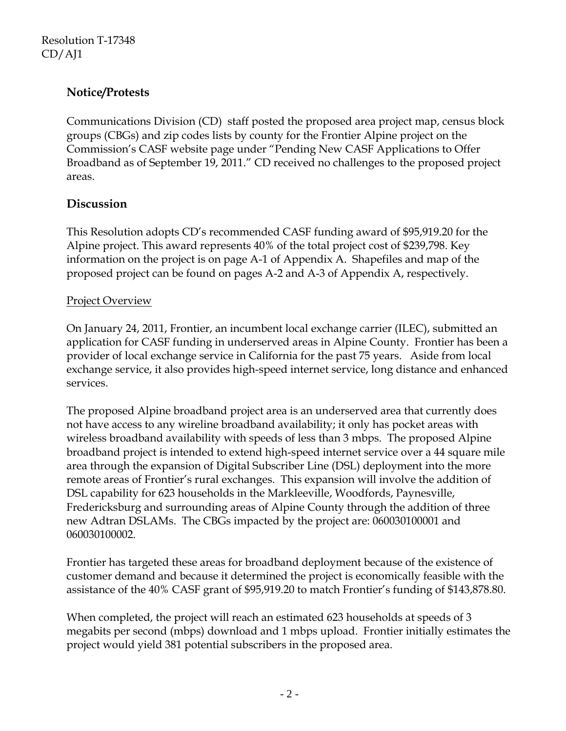# **Notice/Protests**

Communications Division (CD) staff posted the proposed area project map, census block groups (CBGs) and zip codes lists by county for the Frontier Alpine project on the Commission's CASF website page under "Pending New CASF Applications to Offer Broadband as of September 19, 2011." CD received no challenges to the proposed project areas.

### **Discussion**

This Resolution adopts CD's recommended CASF funding award of \$95,919.20 for the Alpine project. This award represents 40% of the total project cost of \$239,798. Key information on the project is on page A-1 of Appendix A. Shapefiles and map of the proposed project can be found on pages A-2 and A-3 of Appendix A, respectively.

### Project Overview

On January 24, 2011, Frontier, an incumbent local exchange carrier (ILEC), submitted an application for CASF funding in underserved areas in Alpine County. Frontier has been a provider of local exchange service in California for the past 75 years. Aside from local exchange service, it also provides high-speed internet service, long distance and enhanced services.

The proposed Alpine broadband project area is an underserved area that currently does not have access to any wireline broadband availability; it only has pocket areas with wireless broadband availability with speeds of less than 3 mbps. The proposed Alpine broadband project is intended to extend high-speed internet service over a 44 square mile area through the expansion of Digital Subscriber Line (DSL) deployment into the more remote areas of Frontier's rural exchanges. This expansion will involve the addition of DSL capability for 623 households in the Markleeville, Woodfords, Paynesville, Fredericksburg and surrounding areas of Alpine County through the addition of three new Adtran DSLAMs. The CBGs impacted by the project are: 060030100001 and 060030100002.

Frontier has targeted these areas for broadband deployment because of the existence of customer demand and because it determined the project is economically feasible with the assistance of the 40% CASF grant of \$95,919.20 to match Frontier's funding of \$143,878.80.

When completed, the project will reach an estimated 623 households at speeds of 3 megabits per second (mbps) download and 1 mbps upload. Frontier initially estimates the project would yield 381 potential subscribers in the proposed area.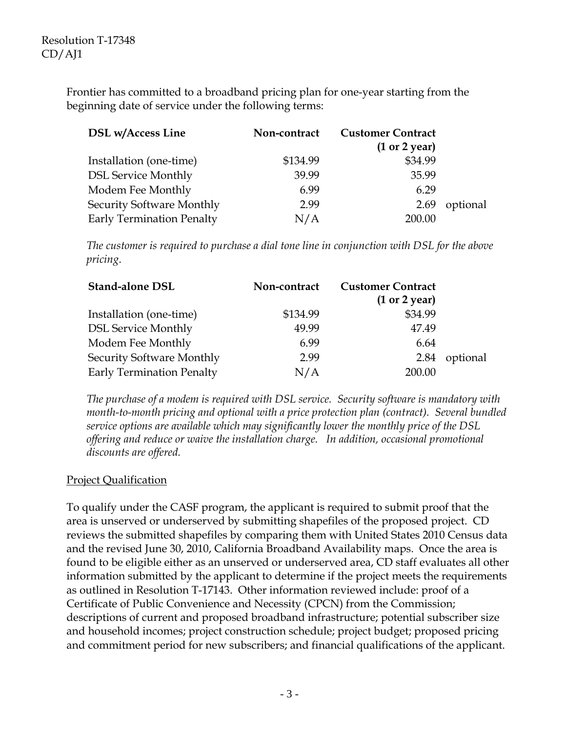Frontier has committed to a broadband pricing plan for one-year starting from the beginning date of service under the following terms:

| <b>DSL</b> w/Access Line         | Non-contract | <b>Customer Contract</b><br>(1 or 2 year) |          |
|----------------------------------|--------------|-------------------------------------------|----------|
| Installation (one-time)          | \$134.99     | \$34.99                                   |          |
| <b>DSL Service Monthly</b>       | 39.99        | 35.99                                     |          |
| Modem Fee Monthly                | 6.99         | 6.29                                      |          |
| Security Software Monthly        | 2.99         | 2.69                                      | optional |
| <b>Early Termination Penalty</b> | N/A          | 200.00                                    |          |

*The customer is required to purchase a dial tone line in conjunction with DSL for the above pricing*.

| <b>Stand-alone DSL</b>           | Non-contract | <b>Customer Contract</b><br>(1 or 2 year) |          |
|----------------------------------|--------------|-------------------------------------------|----------|
| Installation (one-time)          | \$134.99     | \$34.99                                   |          |
| <b>DSL Service Monthly</b>       | 49.99        | 47.49                                     |          |
| Modem Fee Monthly                | 6.99         | 6.64                                      |          |
| Security Software Monthly        | 2.99         | 2.84                                      | optional |
| <b>Early Termination Penalty</b> | N/A          | 200.00                                    |          |

*The purchase of a modem is required with DSL service. Security software is mandatory with month-to-month pricing and optional with a price protection plan (contract). Several bundled service options are available which may significantly lower the monthly price of the DSL offering and reduce or waive the installation charge. In addition, occasional promotional discounts are offered.* 

### Project Qualification

To qualify under the CASF program, the applicant is required to submit proof that the area is unserved or underserved by submitting shapefiles of the proposed project. CD reviews the submitted shapefiles by comparing them with United States 2010 Census data and the revised June 30, 2010, California Broadband Availability maps. Once the area is found to be eligible either as an unserved or underserved area, CD staff evaluates all other information submitted by the applicant to determine if the project meets the requirements as outlined in Resolution T-17143. Other information reviewed include: proof of a Certificate of Public Convenience and Necessity (CPCN) from the Commission; descriptions of current and proposed broadband infrastructure; potential subscriber size and household incomes; project construction schedule; project budget; proposed pricing and commitment period for new subscribers; and financial qualifications of the applicant.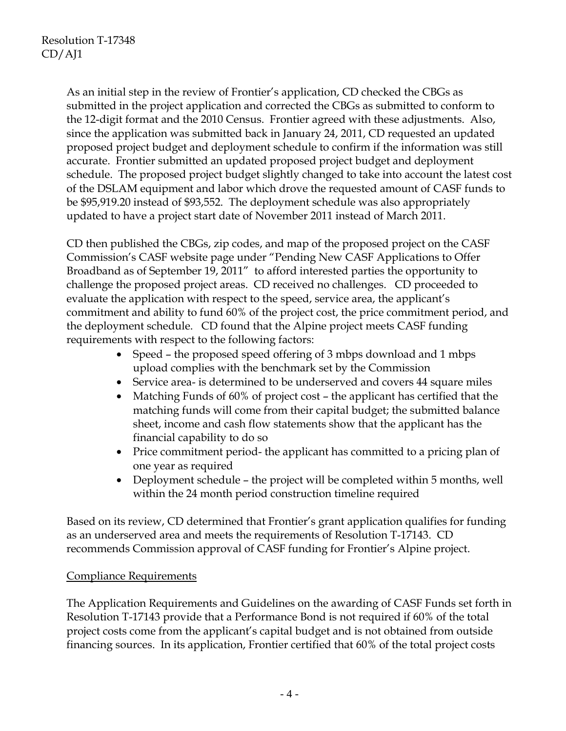As an initial step in the review of Frontier's application, CD checked the CBGs as submitted in the project application and corrected the CBGs as submitted to conform to the 12-digit format and the 2010 Census. Frontier agreed with these adjustments. Also, since the application was submitted back in January 24, 2011, CD requested an updated proposed project budget and deployment schedule to confirm if the information was still accurate. Frontier submitted an updated proposed project budget and deployment schedule. The proposed project budget slightly changed to take into account the latest cost of the DSLAM equipment and labor which drove the requested amount of CASF funds to be \$95,919.20 instead of \$93,552. The deployment schedule was also appropriately updated to have a project start date of November 2011 instead of March 2011.

CD then published the CBGs, zip codes, and map of the proposed project on the CASF Commission's CASF website page under "Pending New CASF Applications to Offer Broadband as of September 19, 2011" to afford interested parties the opportunity to challenge the proposed project areas. CD received no challenges. CD proceeded to evaluate the application with respect to the speed, service area, the applicant's commitment and ability to fund 60% of the project cost, the price commitment period, and the deployment schedule. CD found that the Alpine project meets CASF funding requirements with respect to the following factors:

- Speed the proposed speed offering of 3 mbps download and 1 mbps upload complies with the benchmark set by the Commission
- Service area- is determined to be underserved and covers 44 square miles
- Matching Funds of 60% of project cost the applicant has certified that the matching funds will come from their capital budget; the submitted balance sheet, income and cash flow statements show that the applicant has the financial capability to do so
- Price commitment period- the applicant has committed to a pricing plan of one year as required
- Deployment schedule the project will be completed within 5 months, well within the 24 month period construction timeline required

Based on its review, CD determined that Frontier's grant application qualifies for funding as an underserved area and meets the requirements of Resolution T-17143. CD recommends Commission approval of CASF funding for Frontier's Alpine project.

### Compliance Requirements

The Application Requirements and Guidelines on the awarding of CASF Funds set forth in Resolution T-17143 provide that a Performance Bond is not required if 60% of the total project costs come from the applicant's capital budget and is not obtained from outside financing sources. In its application, Frontier certified that 60% of the total project costs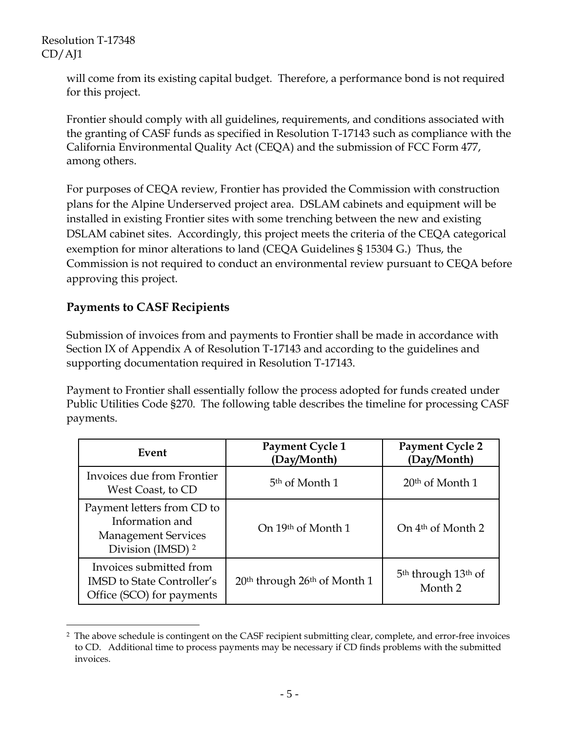Resolution T-17348 CD/AJ1

> will come from its existing capital budget. Therefore, a performance bond is not required for this project.

Frontier should comply with all guidelines, requirements, and conditions associated with the granting of CASF funds as specified in Resolution T-17143 such as compliance with the California Environmental Quality Act (CEQA) and the submission of FCC Form 477, among others.

For purposes of CEQA review, Frontier has provided the Commission with construction plans for the Alpine Underserved project area. DSLAM cabinets and equipment will be installed in existing Frontier sites with some trenching between the new and existing DSLAM cabinet sites. Accordingly, this project meets the criteria of the CEQA categorical exemption for minor alterations to land (CEQA Guidelines § 15304 G.) Thus, the Commission is not required to conduct an environmental review pursuant to CEQA before approving this project.

## **Payments to CASF Recipients**

Submission of invoices from and payments to Frontier shall be made in accordance with Section IX of Appendix A of Resolution T-17143 and according to the guidelines and supporting documentation required in Resolution T-17143.

Payment to Frontier shall essentially follow the process adopted for funds created under Public Utilities Code §270. The following table describes the timeline for processing CASF payments.

| Event                                                                                                       | Payment Cycle 1<br>(Day/Month)                       | <b>Payment Cycle 2</b><br>(Day/Month)                             |
|-------------------------------------------------------------------------------------------------------------|------------------------------------------------------|-------------------------------------------------------------------|
| Invoices due from Frontier<br>West Coast, to CD                                                             | 5 <sup>th</sup> of Month 1                           | $20th$ of Month 1                                                 |
| Payment letters from CD to<br>Information and<br><b>Management Services</b><br>Division (IMSD) <sup>2</sup> | On 19th of Month 1                                   | On 4 <sup>th</sup> of Month 2                                     |
| Invoices submitted from<br><b>IMSD</b> to State Controller's<br>Office (SCO) for payments                   | 20 <sup>th</sup> through 26 <sup>th</sup> of Month 1 | 5 <sup>th</sup> through 13 <sup>th</sup> of<br>Month <sub>2</sub> |

 $\overline{a}$ 2 The above schedule is contingent on the CASF recipient submitting clear, complete, and error-free invoices to CD. Additional time to process payments may be necessary if CD finds problems with the submitted invoices.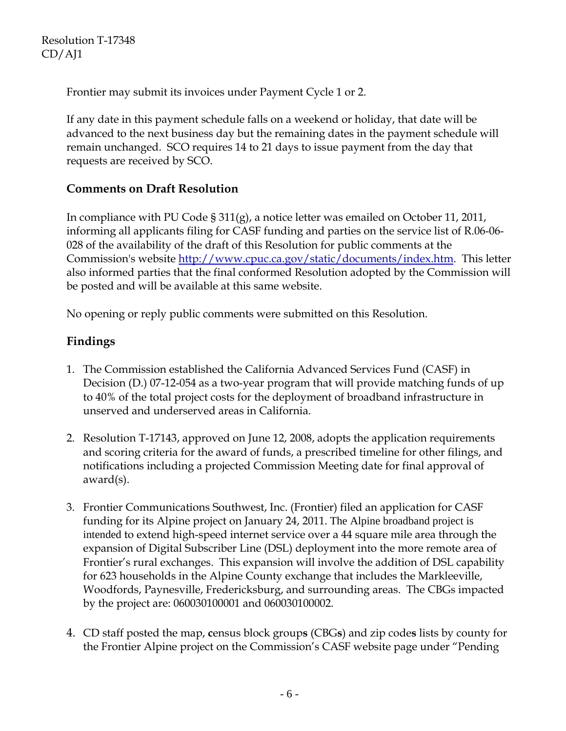Frontier may submit its invoices under Payment Cycle 1 or 2.

If any date in this payment schedule falls on a weekend or holiday, that date will be advanced to the next business day but the remaining dates in the payment schedule will remain unchanged. SCO requires 14 to 21 days to issue payment from the day that requests are received by SCO.

# **Comments on Draft Resolution**

In compliance with PU Code § 311(g), a notice letter was emailed on October 11, 2011, informing all applicants filing for CASF funding and parties on the service list of R.06-06- 028 of the availability of the draft of this Resolution for public comments at the Commission's website http://www.cpuc.ca.gov/static/documents/index.htm. This letter also informed parties that the final conformed Resolution adopted by the Commission will be posted and will be available at this same website.

No opening or reply public comments were submitted on this Resolution.

# **Findings**

- 1. The Commission established the California Advanced Services Fund (CASF) in Decision (D.) 07-12-054 as a two-year program that will provide matching funds of up to 40% of the total project costs for the deployment of broadband infrastructure in unserved and underserved areas in California.
- 2. Resolution T-17143, approved on June 12, 2008, adopts the application requirements and scoring criteria for the award of funds, a prescribed timeline for other filings, and notifications including a projected Commission Meeting date for final approval of award(s).
- 3. Frontier Communications Southwest, Inc. (Frontier) filed an application for CASF funding for its Alpine project on January 24, 2011. The Alpine broadband project is intended to extend high-speed internet service over a 44 square mile area through the expansion of Digital Subscriber Line (DSL) deployment into the more remote area of Frontier's rural exchanges. This expansion will involve the addition of DSL capability for 623 households in the Alpine County exchange that includes the Markleeville, Woodfords, Paynesville, Fredericksburg, and surrounding areas. The CBGs impacted by the project are: 060030100001 and 060030100002.
- 4. CD staff posted the map, **c**ensus block group**s** (CBG**s**) and zip code**s** lists by county for the Frontier Alpine project on the Commission's CASF website page under "Pending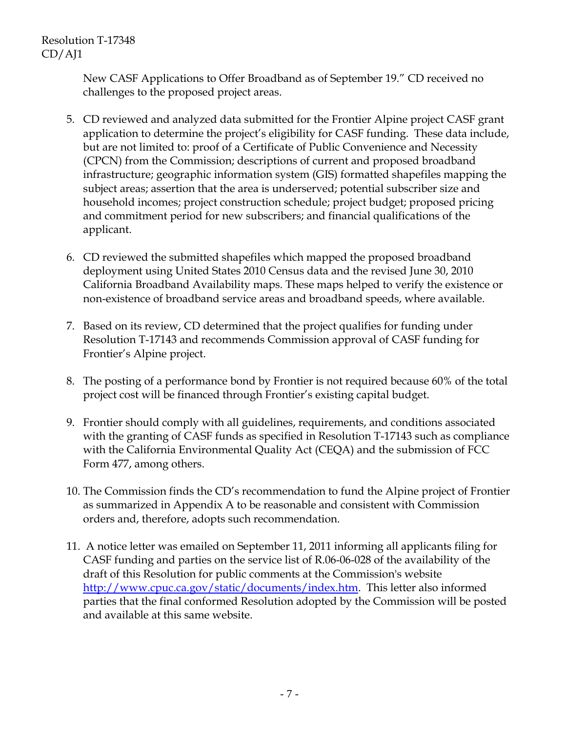New CASF Applications to Offer Broadband as of September 19." CD received no challenges to the proposed project areas.

- 5. CD reviewed and analyzed data submitted for the Frontier Alpine project CASF grant application to determine the project's eligibility for CASF funding. These data include, but are not limited to: proof of a Certificate of Public Convenience and Necessity (CPCN) from the Commission; descriptions of current and proposed broadband infrastructure; geographic information system (GIS) formatted shapefiles mapping the subject areas; assertion that the area is underserved; potential subscriber size and household incomes; project construction schedule; project budget; proposed pricing and commitment period for new subscribers; and financial qualifications of the applicant.
- 6. CD reviewed the submitted shapefiles which mapped the proposed broadband deployment using United States 2010 Census data and the revised June 30, 2010 California Broadband Availability maps. These maps helped to verify the existence or non-existence of broadband service areas and broadband speeds, where available.
- 7. Based on its review, CD determined that the project qualifies for funding under Resolution T-17143 and recommends Commission approval of CASF funding for Frontier's Alpine project.
- 8. The posting of a performance bond by Frontier is not required because 60% of the total project cost will be financed through Frontier's existing capital budget.
- 9. Frontier should comply with all guidelines, requirements, and conditions associated with the granting of CASF funds as specified in Resolution T-17143 such as compliance with the California Environmental Quality Act (CEQA) and the submission of FCC Form 477, among others.
- 10. The Commission finds the CD's recommendation to fund the Alpine project of Frontier as summarized in Appendix A to be reasonable and consistent with Commission orders and, therefore, adopts such recommendation.
- 11. A notice letter was emailed on September 11, 2011 informing all applicants filing for CASF funding and parties on the service list of R.06-06-028 of the availability of the draft of this Resolution for public comments at the Commission's website http://www.cpuc.ca.gov/static/documents/index.htm. This letter also informed parties that the final conformed Resolution adopted by the Commission will be posted and available at this same website.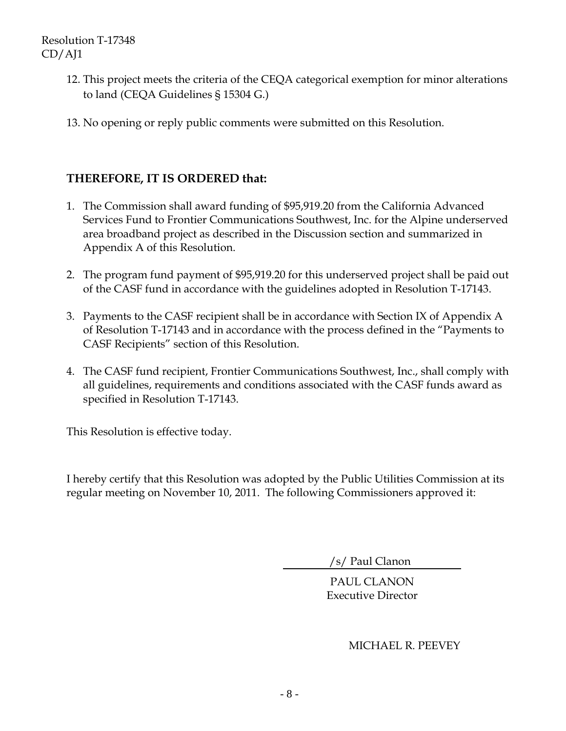- 12. This project meets the criteria of the CEQA categorical exemption for minor alterations to land (CEQA Guidelines § 15304 G.)
- 13. No opening or reply public comments were submitted on this Resolution.

## **THEREFORE, IT IS ORDERED that:**

- 1. The Commission shall award funding of \$95,919.20 from the California Advanced Services Fund to Frontier Communications Southwest, Inc. for the Alpine underserved area broadband project as described in the Discussion section and summarized in Appendix A of this Resolution.
- 2. The program fund payment of \$95,919.20 for this underserved project shall be paid out of the CASF fund in accordance with the guidelines adopted in Resolution T-17143.
- 3. Payments to the CASF recipient shall be in accordance with Section IX of Appendix A of Resolution T-17143 and in accordance with the process defined in the "Payments to CASF Recipients" section of this Resolution.
- 4. The CASF fund recipient, Frontier Communications Southwest, Inc., shall comply with all guidelines, requirements and conditions associated with the CASF funds award as specified in Resolution T-17143.

This Resolution is effective today.

I hereby certify that this Resolution was adopted by the Public Utilities Commission at its regular meeting on November 10, 2011. The following Commissioners approved it:

/s/ Paul Clanon

PAUL CLANON Executive Director

MICHAEL R. PEEVEY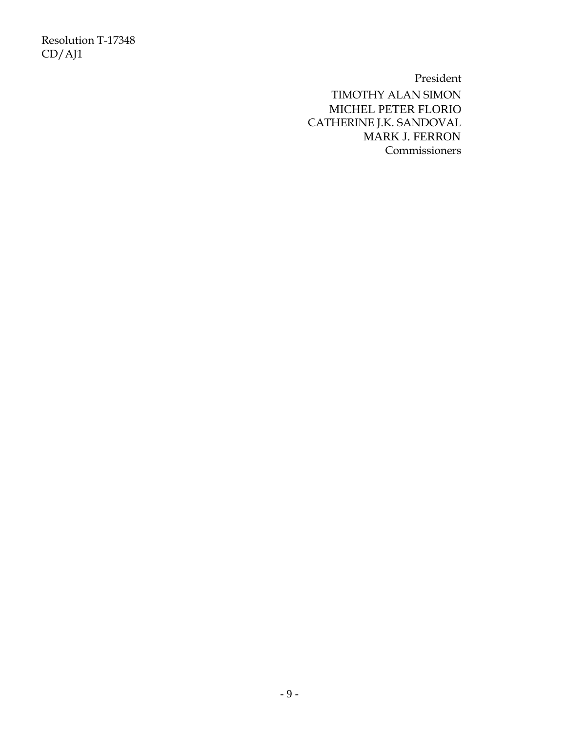Resolution T-17348 CD/AJ1

President

TIMOTHY ALAN SIMON MICHEL PETER FLORIO CATHERINE J.K. SANDOVAL MARK J. FERRON Commissioners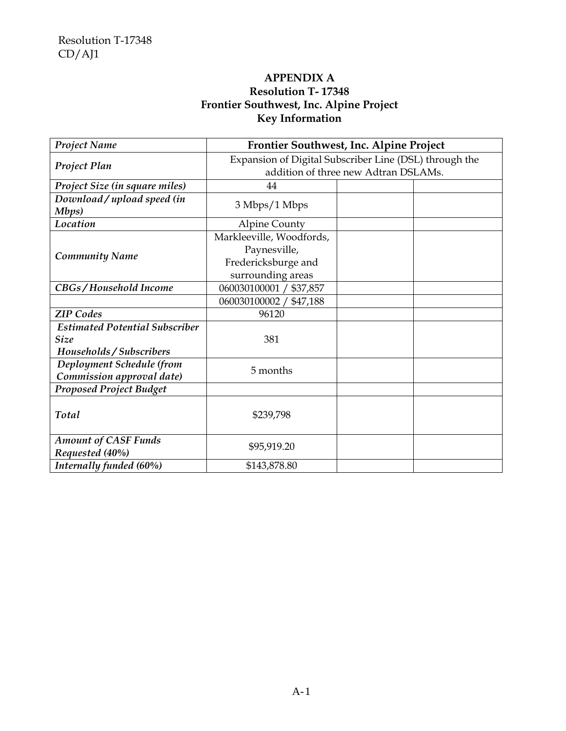### **APPENDIX A Resolution T- 17348 Frontier Southwest, Inc. Alpine Project Key Information**

| <b>Project Name</b>                                                              | Frontier Southwest, Inc. Alpine Project                                                        |  |  |
|----------------------------------------------------------------------------------|------------------------------------------------------------------------------------------------|--|--|
| Project Plan                                                                     | Expansion of Digital Subscriber Line (DSL) through the<br>addition of three new Adtran DSLAMs. |  |  |
| Project Size (in square miles)                                                   | 44                                                                                             |  |  |
| Download / upload speed (in<br>Mbps)                                             | 3 Mbps/1 Mbps                                                                                  |  |  |
| Location                                                                         | <b>Alpine County</b>                                                                           |  |  |
| <b>Community Name</b>                                                            | Markleeville, Woodfords,<br>Paynesville,<br>Fredericksburge and<br>surrounding areas           |  |  |
| CBGs/Household Income                                                            | 060030100001 / \$37,857                                                                        |  |  |
|                                                                                  | 060030100002 /<br>\$47,188                                                                     |  |  |
| <b>ZIP</b> Codes                                                                 | 96120                                                                                          |  |  |
| <b>Estimated Potential Subscriber</b><br><b>Size</b><br>Households / Subscribers | 381                                                                                            |  |  |
| Deployment Schedule (from<br>Commission approval date)                           | 5 months                                                                                       |  |  |
| <b>Proposed Project Budget</b>                                                   |                                                                                                |  |  |
| Total                                                                            | \$239,798                                                                                      |  |  |
| <b>Amount of CASF Funds</b><br>Requested (40%)                                   | \$95,919.20                                                                                    |  |  |
| Internally funded (60%)                                                          | \$143,878.80                                                                                   |  |  |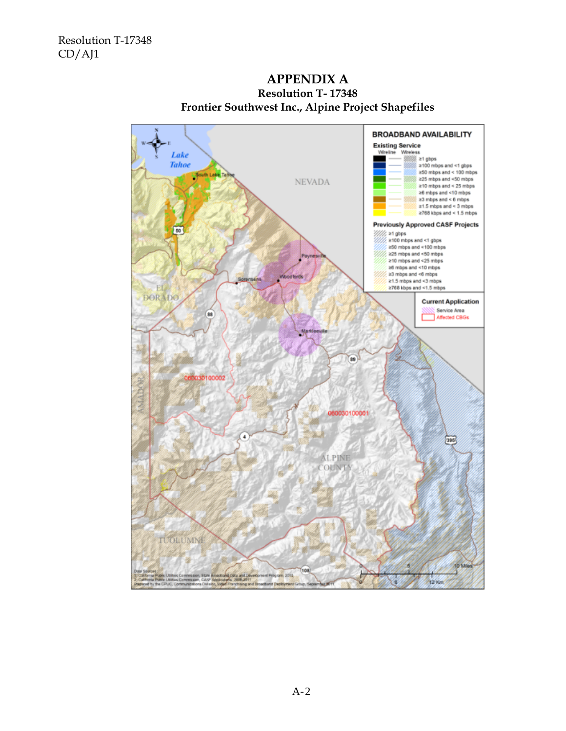

#### **APPENDIX A Resolution T- 17348 Frontier Southwest Inc., Alpine Project Shapefiles**